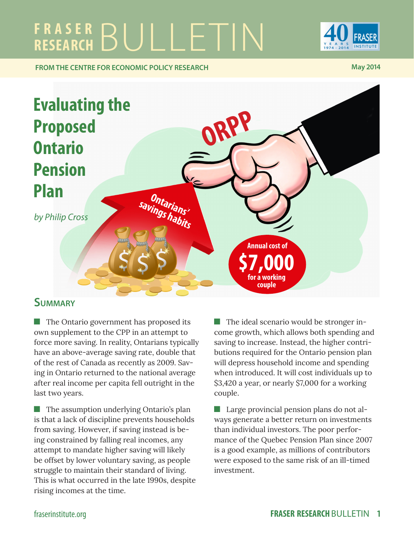# FRASER BULLETIN



**FROM THE CENTRE FOR ECONOMIC POLICY RESEARCH May 2014 May 2014** 



## **Summary**

**The Ontario government has proposed its** own supplement to the CPP in an attempt to force more saving. In reality, Ontarians typically have an above-average saving rate, double that of the rest of Canada as recently as 2009. Saving in Ontario returned to the national average after real income per capita fell outright in the last two years.

**The assumption underlying Ontario's plan** is that a lack of discipline prevents households from saving. However, if saving instead is being constrained by falling real incomes, any attempt to mandate higher saving will likely be offset by lower voluntary saving, as people struggle to maintain their standard of living. This is what occurred in the late 1990s, despite rising incomes at the time.

The ideal scenario would be stronger income growth, which allows both spending and saving to increase. Instead, the higher contributions required for the Ontario pension plan will depress household income and spending when introduced. It will cost individuals up to \$3,420 a year, or nearly \$7,000 for a working couple.

**Large provincial pension plans do not al**ways generate a better return on investments than individual investors. The poor performance of the Quebec Pension Plan since 2007 is a good example, as millions of contributors were exposed to the same risk of an ill-timed investment.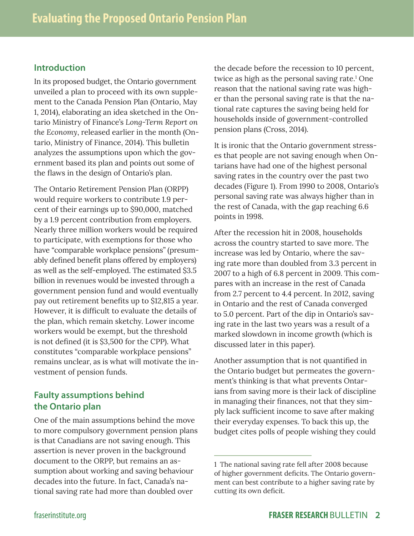#### **Introduction**

In its proposed budget, the Ontario government unveiled a plan to proceed with its own supplement to the Canada Pension Plan (Ontario, May 1, 2014), elaborating an idea sketched in the Ontario Ministry of Finance's *Long-Term Report on the Economy*, released earlier in the month (Ontario, Ministry of Finance, 2014). This bulletin analyzes the assumptions upon which the government based its plan and points out some of the flaws in the design of Ontario's plan.

The Ontario Retirement Pension Plan (ORPP) would require workers to contribute 1.9 percent of their earnings up to \$90,000, matched by a 1.9 percent contribution from employers. Nearly three million workers would be required to participate, with exemptions for those who have "comparable workplace pensions" (presumably defined benefit plans offered by employers) as well as the self-employed. The estimated \$3.5 billion in revenues would be invested through a government pension fund and would eventually pay out retirement benefits up to \$12,815 a year. However, it is difficult to evaluate the details of the plan, which remain sketchy. Lower income workers would be exempt, but the threshold is not defined (it is \$3,500 for the CPP). What constitutes "comparable workplace pensions" remains unclear, as is what will motivate the investment of pension funds.

#### **Faulty assumptions behind the Ontario plan**

One of the main assumptions behind the move to more compulsory government pension plans is that Canadians are not saving enough. This assertion is never proven in the background document to the ORPP, but remains an assumption about working and saving behaviour decades into the future. In fact, Canada's national saving rate had more than doubled over

the decade before the recession to 10 percent, twice as high as the personal saving rate.<sup>1</sup> One reason that the national saving rate was higher than the personal saving rate is that the national rate captures the saving being held for households inside of government-controlled pension plans (Cross, 2014).

It is ironic that the Ontario government stresses that people are not saving enough when Ontarians have had one of the highest personal saving rates in the country over the past two decades (Figure 1). From 1990 to 2008, Ontario's personal saving rate was always higher than in the rest of Canada, with the gap reaching 6.6 points in 1998.

After the recession hit in 2008, households across the country started to save more. The increase was led by Ontario, where the saving rate more than doubled from 3.3 percent in 2007 to a high of 6.8 percent in 2009. This compares with an increase in the rest of Canada from 2.7 percent to 4.4 percent. In 2012, saving in Ontario and the rest of Canada converged to 5.0 percent. Part of the dip in Ontario's saving rate in the last two years was a result of a marked slowdown in income growth (which is discussed later in this paper).

Another assumption that is not quantified in the Ontario budget but permeates the government's thinking is that what prevents Ontarians from saving more is their lack of discipline in managing their finances, not that they simply lack sufficient income to save after making their everyday expenses. To back this up, the budget cites polls of people wishing they could

<sup>1</sup> The national saving rate fell after 2008 because of higher government deficits. The Ontario government can best contribute to a higher saving rate by cutting its own deficit.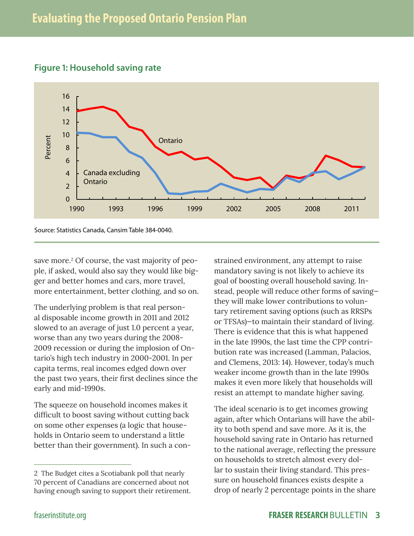

#### **Figure 1: Household saving rate**

Source: Statistics Canada, Cansim Table 384-0040.

save more.<sup>2</sup> Of course, the vast majority of people, if asked, would also say they would like bigger and better homes and cars, more travel, more entertainment, better clothing, and so on.

The underlying problem is that real personal disposable income growth in 2011 and 2012 slowed to an average of just 1.0 percent a year, worse than any two years during the 2008- 2009 recession or during the implosion of Ontario's high tech industry in 2000-2001. In per capita terms, real incomes edged down over the past two years, their first declines since the early and mid-1990s.

The squeeze on household incomes makes it difficult to boost saving without cutting back on some other expenses (a logic that households in Ontario seem to understand a little better than their government). In such a constrained environment, any attempt to raise mandatory saving is not likely to achieve its goal of boosting overall household saving. Instead, people will reduce other forms of saving they will make lower contributions to voluntary retirement saving options (such as RRSPs or TFSAs)—to maintain their standard of living. There is evidence that this is what happened in the late 1990s, the last time the CPP contribution rate was increased (Lamman, Palacios, and Clemens, 2013: 14). However, today's much weaker income growth than in the late 1990s makes it even more likely that households will resist an attempt to mandate higher saving.

The ideal scenario is to get incomes growing again, after which Ontarians will have the ability to both spend and save more. As it is, the household saving rate in Ontario has returned to the national average, reflecting the pressure on households to stretch almost every dollar to sustain their living standard. This pressure on household finances exists despite a drop of nearly 2 percentage points in the share

<sup>2</sup> The Budget cites a Scotiabank poll that nearly 70 percent of Canadians are concerned about not having enough saving to support their retirement.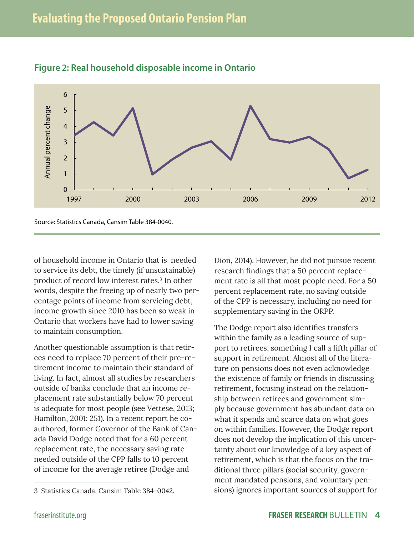

#### **Figure 2: Real household disposable income in Ontario**

Source: Statistics Canada, Cansim Table 384-0040.

of household income in Ontario that is needed to service its debt, the timely (if unsustainable) product of record low interest rates.3 In other words, despite the freeing up of nearly two percentage points of income from servicing debt, income growth since 2010 has been so weak in Ontario that workers have had to lower saving to maintain consumption.

Another questionable assumption is that retirees need to replace 70 percent of their pre-retirement income to maintain their standard of living. In fact, almost all studies by researchers outside of banks conclude that an income replacement rate substantially below 70 percent is adequate for most people (see Vettese, 2013; Hamilton, 2001: 251). In a recent report he coauthored, former Governor of the Bank of Canada David Dodge noted that for a 60 percent replacement rate, the necessary saving rate needed outside of the CPP falls to 10 percent of income for the average retiree (Dodge and

Dion, 2014). However, he did not pursue recent research findings that a 50 percent replacement rate is all that most people need. For a 50 percent replacement rate, no saving outside of the CPP is necessary, including no need for supplementary saving in the ORPP.

The Dodge report also identifies transfers within the family as a leading source of support to retirees, something I call a fifth pillar of support in retirement. Almost all of the literature on pensions does not even acknowledge the existence of family or friends in discussing retirement, focusing instead on the relationship between retirees and government simply because government has abundant data on what it spends and scarce data on what goes on within families. However, the Dodge report does not develop the implication of this uncertainty about our knowledge of a key aspect of retirement, which is that the focus on the traditional three pillars (social security, government mandated pensions, and voluntary pensions) ignores important sources of support for

<sup>3</sup> Statistics Canada, Cansim Table 384-0042.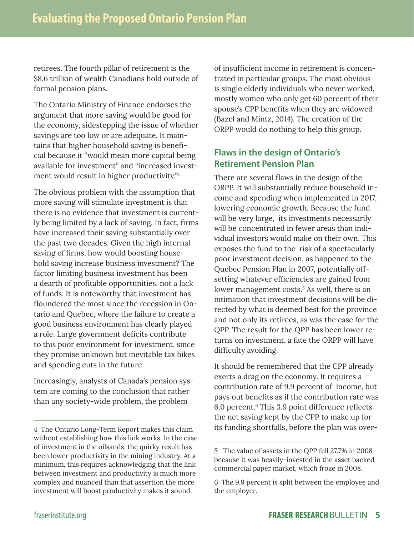retirees. The fourth pillar of retirement is the \$8.6 trillion of wealth Canadians hold outside of formal pension plans.

The Ontario Ministry of Finance endorses the argument that more saving would be good for the economy, sidestepping the issue of whether savings are too low or are adequate. It maintains that higher household saving is beneficial because it "would mean more capital being available for investment" and "increased investment would result in higher productivity."4

The obvious problem with the assumption that more saving will stimulate investment is that there is no evidence that investment is currently being limited by a lack of saving. In fact, firms have increased their saving substantially over the past two decades. Given the high internal saving of firms, how would boosting household saving increase business investment? The factor limiting business investment has been a dearth of profitable opportunities, not a lack of funds. It is noteworthy that investment has floundered the most since the recession in Ontario and Quebec, where the failure to create a good business environment has clearly played a role. Large government deficits contribute to this poor environment for investment, since they promise unknown but inevitable tax hikes and spending cuts in the future.

Increasingly, analysts of Canada's pension system are coming to the conclusion that rather than any society-wide problem, the problem

of insufficient income in retirement is concentrated in particular groups. The most obvious is single elderly individuals who never worked, mostly women who only get 60 percent of their spouse's CPP benefits when they are widowed (Bazel and Mintz, 2014). The creation of the ORPP would do nothing to help this group.

### **Flaws in the design of Ontario's Retirement Pension Plan**

There are several flaws in the design of the ORPP. It will substantially reduce household income and spending when implemented in 2017, lowering economic growth. Because the fund will be very large, its investments necessarily will be concentrated in fewer areas than individual investors would make on their own. This exposes the fund to the risk of a spectacularly poor investment decision, as happened to the Quebec Pension Plan in 2007, potentially offsetting whatever efficiencies are gained from lower management costs.<sup>5</sup> As well, there is an intimation that investment decisions will be directed by what is deemed best for the province and not only its retirees, as was the case for the QPP. The result for the QPP has been lower returns on investment, a fate the ORPP will have difficulty avoiding.

It should be remembered that the CPP already exerts a drag on the economy. It requires a contribution rate of 9.9 percent of income, but pays out benefits as if the contribution rate was 6.0 percent.6 This 3.9 point difference reflects the net saving kept by the CPP to make up for its funding shortfalls, before the plan was over-

<sup>4</sup> The Ontario Long-Term Report makes this claim without establishing how this link works. In the case of investment in the oilsands, the quirky result has been lower productivity in the mining industry. At a minimum, this requires acknowledging that the link between investment and productivity is much more complex and nuanced than that assertion the more investment will boost productivity makes it sound.

<sup>5</sup> The value of assets in the QPP fell 27.7% in 2008 because it was heavily-invested in the asset backed commercial paper market, which froze in 2008.

<sup>6</sup> The 9.9 percent is split between the employee and the employer.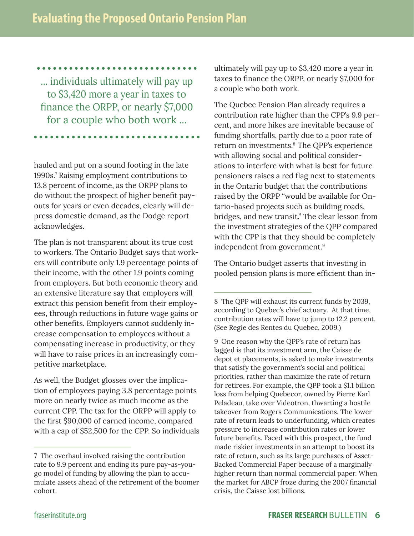... individuals ultimately will pay up to \$3,420 more a year in taxes to finance the ORPP, or nearly \$7,000 for a couple who both work ...

hauled and put on a sound footing in the late 1990s.7 Raising employment contributions to 13.8 percent of income, as the ORPP plans to do without the prospect of higher benefit payouts for years or even decades, clearly will depress domestic demand, as the Dodge report acknowledges.

The plan is not transparent about its true cost to workers. The Ontario Budget says that workers will contribute only 1.9 percentage points of their income, with the other 1.9 points coming from employers. But both economic theory and an extensive literature say that employers will extract this pension benefit from their employees, through reductions in future wage gains or other benefits. Employers cannot suddenly increase compensation to employees without a compensating increase in productivity, or they will have to raise prices in an increasingly competitive marketplace.

As well, the Budget glosses over the implication of employees paying 3.8 percentage points more on nearly twice as much income as the current CPP. The tax for the ORPP will apply to the first \$90,000 of earned income, compared with a cap of \$52,500 for the CPP. So individuals ultimately will pay up to \$3,420 more a year in taxes to finance the ORPP, or nearly \$7,000 for a couple who both work.

The Quebec Pension Plan already requires a contribution rate higher than the CPP's 9.9 percent, and more hikes are inevitable because of funding shortfalls, partly due to a poor rate of return on investments.<sup>8</sup> The QPP's experience with allowing social and political considerations to interfere with what is best for future pensioners raises a red flag next to statements in the Ontario budget that the contributions raised by the ORPP "would be available for Ontario-based projects such as building roads, bridges, and new transit." The clear lesson from the investment strategies of the QPP compared with the CPP is that they should be completely independent from government.9

The Ontario budget asserts that investing in pooled pension plans is more efficient than in-

9 One reason why the QPP's rate of return has lagged is that its investment arm, the Caisse de depot et placements, is asked to make investments that satisfy the government's social and political priorities, rather than maximize the rate of return for retirees. For example, the QPP took a \$1.1 billion loss from helping Quebecor, owned by Pierre Karl Peladeau, take over Videotron, thwarting a hostile takeover from Rogers Communications. The lower rate of return leads to underfunding, which creates pressure to increase contribution rates or lower future benefits. Faced with this prospect, the fund made riskier investments in an attempt to boost its rate of return, such as its large purchases of Asset-Backed Commercial Paper because of a marginally higher return than normal commercial paper. When the market for ABCP froze during the 2007 financial crisis, the Caisse lost billions.

<sup>7</sup> The overhaul involved raising the contribution rate to 9.9 percent and ending its pure pay-as-yougo model of funding by allowing the plan to accumulate assets ahead of the retirement of the boomer cohort.

<sup>8</sup> The QPP will exhaust its current funds by 2039, according to Quebec's chief actuary. At that time, contribution rates will have to jump to 12.2 percent. (See Regie des Rentes du Quebec, 2009.)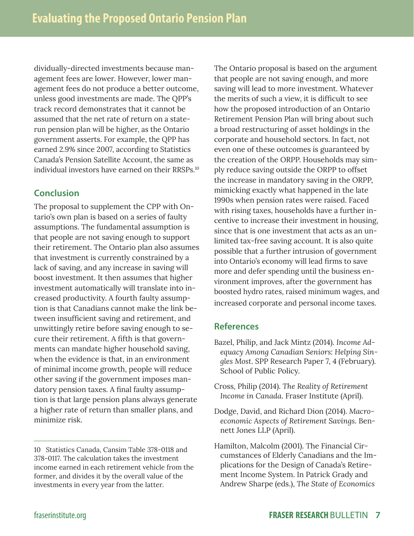dividually-directed investments because management fees are lower. However, lower management fees do not produce a better outcome, unless good investments are made. The QPP's track record demonstrates that it cannot be assumed that the net rate of return on a staterun pension plan will be higher, as the Ontario government asserts. For example, the QPP has earned 2.9% since 2007, according to Statistics Canada's Pension Satellite Account, the same as individual investors have earned on their RRSPs. 10

#### **Conclusion**

The proposal to supplement the CPP with Ontario's own plan is based on a series of faulty assumptions. The fundamental assumption is that people are not saving enough to support their retirement. The Ontario plan also assumes that investment is currently constrained by a lack of saving, and any increase in saving will boost investment. It then assumes that higher investment automatically will translate into increased productivity. A fourth faulty assumption is that Canadians cannot make the link between insufficient saving and retirement, and unwittingly retire before saving enough to secure their retirement. A fifth is that governments can mandate higher household saving, when the evidence is that, in an environment of minimal income growth, people will reduce other saving if the government imposes mandatory pension taxes. A final faulty assumption is that large pension plans always generate a higher rate of return than smaller plans, and minimize risk.

The Ontario proposal is based on the argument that people are not saving enough, and more saving will lead to more investment. Whatever the merits of such a view, it is difficult to see how the proposed introduction of an Ontario Retirement Pension Plan will bring about such a broad restructuring of asset holdings in the corporate and household sectors. In fact, not even one of these outcomes is guaranteed by the creation of the ORPP. Households may simply reduce saving outside the ORPP to offset the increase in mandatory saving in the ORPP, mimicking exactly what happened in the late 1990s when pension rates were raised. Faced with rising taxes, households have a further incentive to increase their investment in housing, since that is one investment that acts as an unlimited tax-free saving account. It is also quite possible that a further intrusion of government into Ontario's economy will lead firms to save more and defer spending until the business environment improves, after the government has boosted hydro rates, raised minimum wages, and increased corporate and personal income taxes.

#### **References**

- Bazel, Philip, and Jack Mintz (2014). *Income Adequacy Among Canadian Seniors: Helping Singles Most*. SPP Research Paper 7, 4 (February). School of Public Policy.
- Cross, Philip (2014). *The Reality of Retirement Income in Canada*. Fraser Institute (April).
- Dodge, David, and Richard Dion (2014). *Macroeconomic Aspects of Retirement Savings*. Bennett Jones LLP (April).
- Hamilton, Malcolm (2001). The Financial Circumstances of Elderly Canadians and the Implications for the Design of Canada's Retirement Income System. In Patrick Grady and Andrew Sharpe (eds.), *The State of Economics*

<sup>10</sup> Statistics Canada, Cansim Table 378-0118 and 378-0117. The calculation takes the investment income earned in each retirement vehicle from the former, and divides it by the overall value of the investments in every year from the latter.